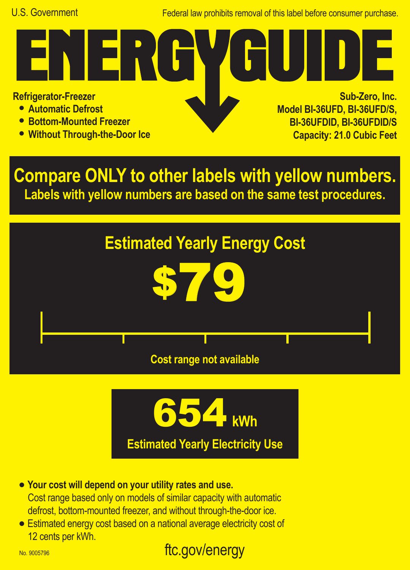Federal law prohibits removal of this label before consumer purchase.

**Refrigerator-Freezer**

- **• Automatic Defrost**
- **• Bottom-Mounted Freezer**
- **• Without Through-the-Door Ice**

<u>r y</u>

**Sub-Zero, Inc. Model BI-36UFD, BI-36UFD/S, BI-36UFDID, BI-36UFDID/S Capacity: 21.0 Cubic Feet**

**Compare ONLY to other labels with yellow numbers. Labels with yellow numbers are based on the same test procedures.**





- **• Your cost will depend on your utility rates and use.** Cost range based only on models of similar capacity with automatic defrost, bottom-mounted freezer, and without through-the-door ice.
- **•** Estimated energy cost based on a national average electricity cost of 12 cents per kWh.